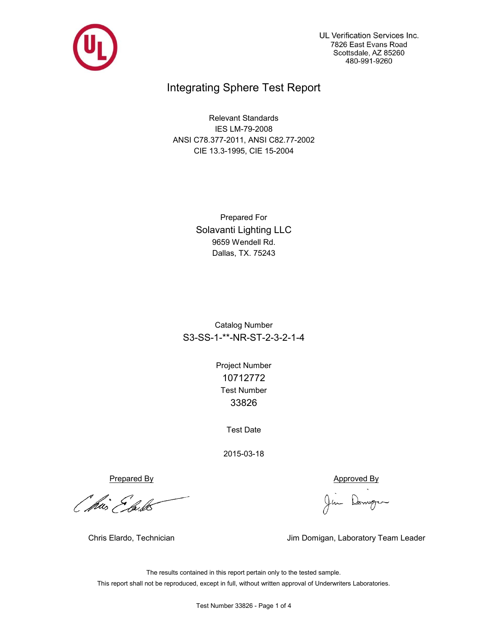

UL Verification Services Inc. 7826 East Evans Road Scottsdale, AZ 85260 480-991-9260

## Integrating Sphere Test Report

Relevant Standards IES LM-79-2008 ANSI C78.377-2011, ANSI C82.77-2002 CIE 13.3-1995, CIE 15-2004

> Prepared For Solavanti Lighting LLC 9659 Wendell Rd. Dallas, TX. 75243

Catalog Number S3-SS-1-\*\*-NR-ST-2-3-2-1-4

> Test Number 33826 Project Number 10712772

> > Test Date

2015-03-18

Prepared By Approved By

*Othis Elask* 

Jim Domgen

Chris Elardo, Technician **Jim Domigan, Laboratory Team Leader** 

The results contained in this report pertain only to the tested sample. This report shall not be reproduced, except in full, without written approval of Underwriters Laboratories.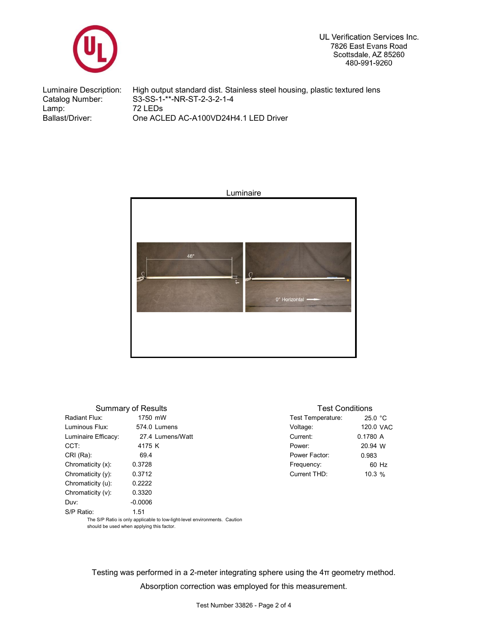

UL Verification Services Inc. 7826 East Evans Road Scottsdale, AZ 85260 480-991-9260

Luminaire Description: High output standard dist. Stainless steel housing, plastic textured lens Catalog Number: S3-SS-1-\*\*-NR-ST-2-3-2-1-4<br>Lamp: 72 LEDs Lamp: 72 LEDs<br>Ballast/Driver: 0ne ACL One ACLED AC-A100VD24H4.1 LED Driver



|                     | <b>Summary of Results</b>                                                 |                   | <b>Test Conditions</b> |  |  |  |  |  |
|---------------------|---------------------------------------------------------------------------|-------------------|------------------------|--|--|--|--|--|
| Radiant Flux:       | 1750 mW                                                                   | Test Temperature: | 25.0 °C                |  |  |  |  |  |
| Luminous Flux:      | 574.0 Lumens                                                              | Voltage:          | 120.0 VAC              |  |  |  |  |  |
| Luminaire Efficacy: | 27.4 Lumens/Watt                                                          | Current:          | 0.1780 A               |  |  |  |  |  |
| CCT:                | 4175 K                                                                    | Power:            | 20.94 W                |  |  |  |  |  |
| CRI (Ra):           | 69.4                                                                      | Power Factor:     | 0.983                  |  |  |  |  |  |
| Chromaticity (x):   | 0.3728                                                                    | Frequency:        | 60 Hz                  |  |  |  |  |  |
| Chromaticity (y):   | 0.3712                                                                    | Current THD:      | 10.3%                  |  |  |  |  |  |
| Chromaticity (u):   | 0.2222                                                                    |                   |                        |  |  |  |  |  |
| Chromaticity (v):   | 0.3320                                                                    |                   |                        |  |  |  |  |  |
| Duv:                | $-0.0006$                                                                 |                   |                        |  |  |  |  |  |
| S/P Ratio:          | 1.51                                                                      |                   |                        |  |  |  |  |  |
|                     | The S/P Ratio is only applicable to low-light-level environments. Caution |                   |                        |  |  |  |  |  |

should be used when applying this factor.

Testing was performed in a 2-meter integrating sphere using the 4π geometry method. Absorption correction was employed for this measurement.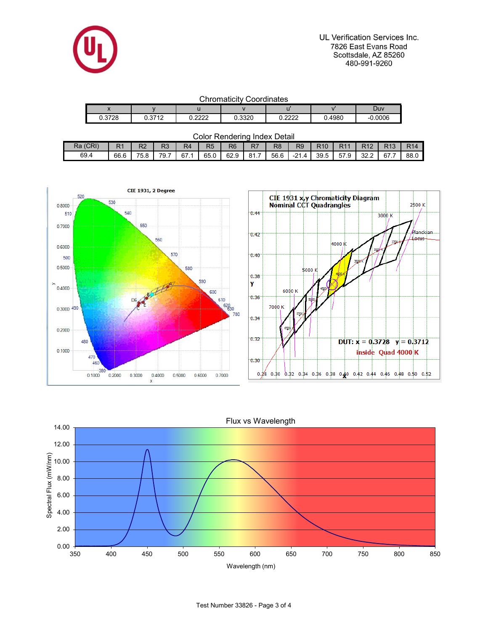

UL Verification Services Inc. 7826 East Evans Road Scottsdale, AZ 85260 480-991-9260

| <b>Chromaticity Coordinates</b> |  |
|---------------------------------|--|
|---------------------------------|--|

| ---------------<br>_ _ _ _ . _ |                                       |                |        |                             |        |               |  |  |  |  |  |  |  |
|--------------------------------|---------------------------------------|----------------|--------|-----------------------------|--------|---------------|--|--|--|--|--|--|--|
| $\overline{\phantom{a}}$       |                                       |                |        |                             |        | Duv           |  |  |  |  |  |  |  |
| 2729<br>⌒<br>0.JI 20           | 2742<br><b>U.UI</b><br>$\overline{ }$ | coco<br>,,,,,, | 0.3320 | coco<br>⌒<br>0. <i>lll.</i> | 0.4980 | 0006.<br>$-1$ |  |  |  |  |  |  |  |

| (CRI)<br>Ra | D <sub>4</sub><br>ĸι | מח<br>৲∼ | מח<br>- 1 | R4<br>$-$ | R <sub>5</sub> | R <sub>6</sub> | $\Gamma$<br>rv 1 | R8   | R <sub>9</sub>        | <b>R10</b> | D44  | was a      | $\Gamma$ 40 | <b>R14</b> |
|-------------|----------------------|----------|-----------|-----------|----------------|----------------|------------------|------|-----------------------|------------|------|------------|-------------|------------|
| 69.4        | 66.6                 | 75.8     | 79.1      | 67.       | 65.0           | 62.9           | $\Omega$ 1<br>.  | 56.6 | $-21$<br>$\mathbf{u}$ | 39.5       | 57.9 | າາ<br>ے ۔ے | 67          | 88.0       |